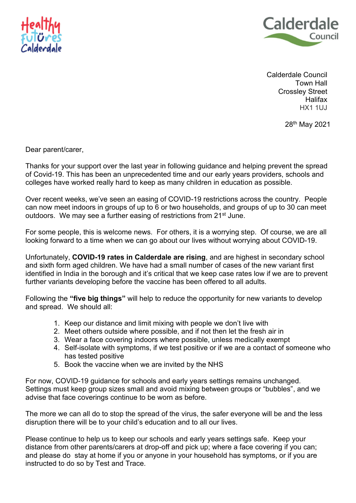



Calderdale Council Town Hall Crossley Street **Halifax** HX1 1UJ

28<sup>th</sup> May 2021

Dear parent/carer,

Thanks for your support over the last year in following guidance and helping prevent the spread of Covid-19. This has been an unprecedented time and our early years providers, schools and colleges have worked really hard to keep as many children in education as possible.

Over recent weeks, we've seen an easing of COVID-19 restrictions across the country. People can now meet indoors in groups of up to 6 or two households, and groups of up to 30 can meet outdoors. We may see a further easing of restrictions from 21<sup>st</sup> June.

For some people, this is welcome news. For others, it is a worrying step. Of course, we are all looking forward to a time when we can go about our lives without worrying about COVID-19.

Unfortunately, **COVID-19 rates in Calderdale are rising**, and are highest in secondary school and sixth form aged children. We have had a small number of cases of the new variant first identified in India in the borough and it's critical that we keep case rates low if we are to prevent further variants developing before the vaccine has been offered to all adults.

Following the **"five big things"** will help to reduce the opportunity for new variants to develop and spread. We should all:

- 1. Keep our distance and limit mixing with people we don't live with
- 2. Meet others outside where possible, and if not then let the fresh air in
- 3. Wear a face covering indoors where possible, unless medically exempt
- 4. Self-isolate with symptoms, if we test positive or if we are a contact of someone who has tested positive
- 5. Book the vaccine when we are invited by the NHS

For now, COVID-19 guidance for schools and early years settings remains unchanged. Settings must keep group sizes small and avoid mixing between groups or "bubbles", and we advise that face coverings continue to be worn as before.

The more we can all do to stop the spread of the virus, the safer everyone will be and the less disruption there will be to your child's education and to all our lives.

Please continue to help us to keep our schools and early years settings safe. Keep your distance from other parents/carers at drop-off and pick up; where a face covering if you can; and please do stay at home if you or anyone in your household has symptoms, or if you are instructed to do so by Test and Trace.